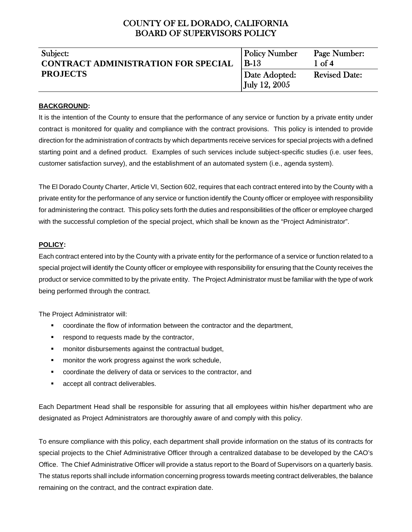| Subject:                                   | <b>Policy Number</b> | Page Number:         |
|--------------------------------------------|----------------------|----------------------|
| <b>CONTRACT ADMINISTRATION FOR SPECIAL</b> | $B-13$               | $1 \text{ of } 4$    |
| <b>PROJECTS</b>                            | Date Adopted:        | <b>Revised Date:</b> |
|                                            | <b>July 12, 2005</b> |                      |

#### **BACKGROUND:**

It is the intention of the County to ensure that the performance of any service or function by a private entity under contract is monitored for quality and compliance with the contract provisions. This policy is intended to provide direction for the administration of contracts by which departments receive services for special projects with a defined starting point and a defined product. Examples of such services include subject-specific studies (i.e. user fees, customer satisfaction survey), and the establishment of an automated system (i.e., agenda system).

The El Dorado County Charter, Article VI, Section 602, requires that each contract entered into by the County with a private entity for the performance of any service or function identify the County officer or employee with responsibility for administering the contract. This policy sets forth the duties and responsibilities of the officer or employee charged with the successful completion of the special project, which shall be known as the "Project Administrator".

#### **POLICY:**

Each contract entered into by the County with a private entity for the performance of a service or function related to a special project will identify the County officer or employee with responsibility for ensuring that the County receives the product or service committed to by the private entity. The Project Administrator must be familiar with the type of work being performed through the contract.

The Project Administrator will:

- coordinate the flow of information between the contractor and the department,
- **F** respond to requests made by the contractor,
- **F** monitor disbursements against the contractual budget,
- **EXED** monitor the work progress against the work schedule,
- coordinate the delivery of data or services to the contractor, and
- **accept all contract deliverables.**

Each Department Head shall be responsible for assuring that all employees within his/her department who are designated as Project Administrators are thoroughly aware of and comply with this policy.

To ensure compliance with this policy, each department shall provide information on the status of its contracts for special projects to the Chief Administrative Officer through a centralized database to be developed by the CAO's Office. The Chief Administrative Officer will provide a status report to the Board of Supervisors on a quarterly basis. The status reports shall include information concerning progress towards meeting contract deliverables, the balance remaining on the contract, and the contract expiration date.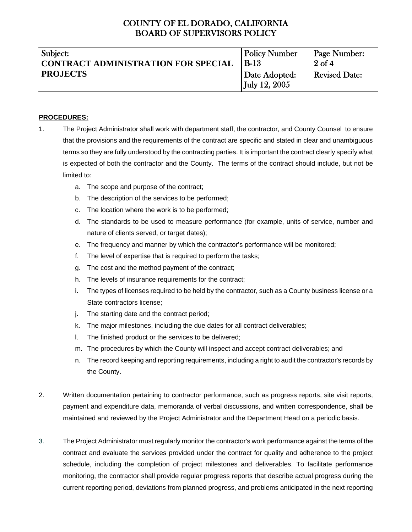| Subject:                                   | <b>Policy Number</b> | Page Number:         |
|--------------------------------------------|----------------------|----------------------|
| <b>CONTRACT ADMINISTRATION FOR SPECIAL</b> | $B-13$               | $2$ of 4             |
| <b>PROJECTS</b>                            | Date Adopted:        | <b>Revised Date:</b> |
|                                            | <b>July 12, 2005</b> |                      |

### **PROCEDURES:**

- 1. The Project Administrator shall work with department staff, the contractor, and County Counsel to ensure that the provisions and the requirements of the contract are specific and stated in clear and unambiguous terms so they are fully understood by the contracting parties. It is important the contract clearly specify what is expected of both the contractor and the County. The terms of the contract should include, but not be limited to:
	- a. The scope and purpose of the contract;
	- b. The description of the services to be performed;
	- c. The location where the work is to be performed;
	- d. The standards to be used to measure performance (for example, units of service, number and nature of clients served, or target dates);
	- e. The frequency and manner by which the contractor's performance will be monitored;
	- f. The level of expertise that is required to perform the tasks;
	- g. The cost and the method payment of the contract;
	- h. The levels of insurance requirements for the contract;
	- i. The types of licenses required to be held by the contractor, such as a County business license or a State contractors license;
	- j. The starting date and the contract period;
	- k. The major milestones, including the due dates for all contract deliverables;
	- l. The finished product or the services to be delivered;
	- m. The procedures by which the County will inspect and accept contract deliverables; and
	- n. The record keeping and reporting requirements, including a right to audit the contractor's records by the County.
- 2. Written documentation pertaining to contractor performance, such as progress reports, site visit reports, payment and expenditure data, memoranda of verbal discussions, and written correspondence, shall be maintained and reviewed by the Project Administrator and the Department Head on a periodic basis.
- 3. The Project Administrator must regularly monitor the contractor's work performance against the terms of the contract and evaluate the services provided under the contract for quality and adherence to the project schedule, including the completion of project milestones and deliverables. To facilitate performance monitoring, the contractor shall provide regular progress reports that describe actual progress during the current reporting period, deviations from planned progress, and problems anticipated in the next reporting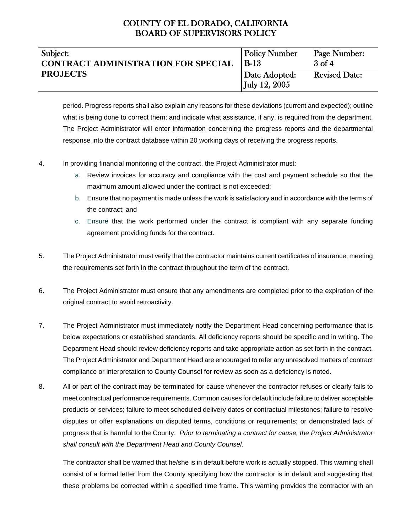| Subject:                                   | <b>Policy Number</b> | Page Number:         |
|--------------------------------------------|----------------------|----------------------|
| <b>CONTRACT ADMINISTRATION FOR SPECIAL</b> | <b>B-13</b>          | 3of 4                |
| <b>PROJECTS</b>                            | Date Adopted:        | <b>Revised Date:</b> |
|                                            | July 12, 2005        |                      |

period. Progress reports shall also explain any reasons for these deviations (current and expected); outline what is being done to correct them; and indicate what assistance, if any, is required from the department. The Project Administrator will enter information concerning the progress reports and the departmental response into the contract database within 20 working days of receiving the progress reports.

- 4. In providing financial monitoring of the contract, the Project Administrator must:
	- a. Review invoices for accuracy and compliance with the cost and payment schedule so that the maximum amount allowed under the contract is not exceeded;
	- b. Ensure that no payment is made unless the work is satisfactory and in accordance with the terms of the contract; and
	- c. Ensure that the work performed under the contract is compliant with any separate funding agreement providing funds for the contract.
- 5. The Project Administrator must verify that the contractor maintains current certificates of insurance, meeting the requirements set forth in the contract throughout the term of the contract.
- 6. The Project Administrator must ensure that any amendments are completed prior to the expiration of the original contract to avoid retroactivity.
- 7. The Project Administrator must immediately notify the Department Head concerning performance that is below expectations or established standards. All deficiency reports should be specific and in writing. The Department Head should review deficiency reports and take appropriate action as set forth in the contract. The Project Administrator and Department Head are encouraged to refer any unresolved matters of contract compliance or interpretation to County Counsel for review as soon as a deficiency is noted.
- 8. All or part of the contract may be terminated for cause whenever the contractor refuses or clearly fails to meet contractual performance requirements. Common causes for default include failure to deliver acceptable products or services; failure to meet scheduled delivery dates or contractual milestones; failure to resolve disputes or offer explanations on disputed terms, conditions or requirements; or demonstrated lack of progress that is harmful to the County. *Prior to terminating a contract for cause, the Project Administrator shall consult with the Department Head and County Counsel.*

The contractor shall be warned that he/she is in default before work is actually stopped. This warning shall consist of a formal letter from the County specifying how the contractor is in default and suggesting that these problems be corrected within a specified time frame. This warning provides the contractor with an